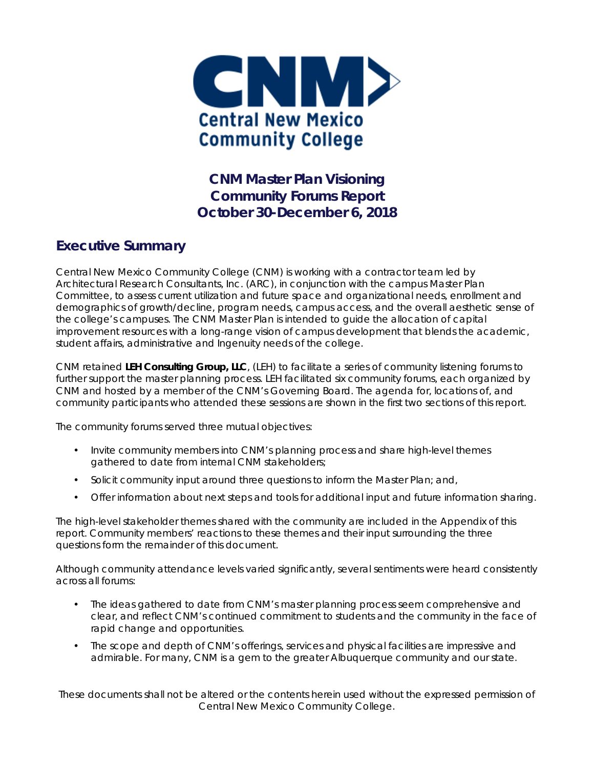

**CNM Master Plan Visioning Community Forums Report October 30-December 6, 2018** 

### **Executive Summary**

Central New Mexico Community College (CNM) is working with a contractor team led by Architectural Research Consultants, Inc. (ARC), in conjunction with the campus Master Plan Committee, to assess current utilization and future space and organizational needs, enrollment and demographics of growth/decline, program needs, campus access, and the overall aesthetic sense of the college's campuses. The CNM Master Plan is intended to guide the allocation of capital improvement resources with a long-range vision of campus development that blends the academic, student affairs, administrative and Ingenuity needs of the college.

CNM retained *LEH Consulting Group, LLC*, (LEH) to facilitate a series of community listening forums to further support the master planning process. LEH facilitated six community forums, each organized by CNM and hosted by a member of the CNM's Governing Board. The agenda for, locations of, and community participants who attended these sessions are shown in the first two sections of this report.

The community forums served three mutual objectives:

- Invite community members into CNM's planning process and share high-level themes gathered to date from internal CNM stakeholders;
- Solicit community input around three questions to inform the Master Plan; and,
- Offer information about next steps and tools for additional input and future information sharing.

The high-level stakeholder themes shared with the community are included in the Appendix of this report. Community members' reactions to these themes and their input surrounding the three questions form the remainder of this document.

Although community attendance levels varied significantly, several sentiments were heard consistently across all forums:

- The ideas gathered to date from CNM's master planning process seem comprehensive and clear, and reflect CNM's continued commitment to students and the community in the face of rapid change and opportunities.
- The scope and depth of CNM's offerings, services and physical facilities are impressive and admirable. For many, CNM is a gem to the greater Albuquerque community and our state.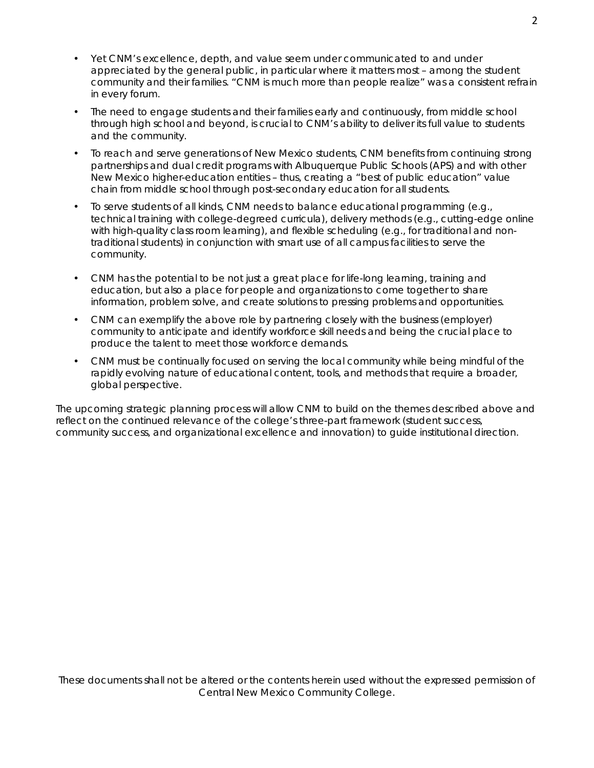- Yet CNM's excellence, depth, and value seem under communicated to and under appreciated by the general public, in particular where it matters most – among the student community and their families. "CNM is much more than people realize" was a consistent refrain in every forum.
- The need to engage students and their families early and continuously, from middle school through high school and beyond, is crucial to CNM's ability to deliver its full value to students and the community.
- To reach and serve generations of New Mexico students, CNM benefits from continuing strong partnerships and dual credit programs with Albuquerque Public Schools (APS) and with other New Mexico higher-education entities – thus, creating a "best of public education" value chain from middle school through post-secondary education for all students.
- To serve students of all kinds, CNM needs to balance educational programming (e.g., technical training with college-degreed curricula), delivery methods (e.g., cutting-edge online with high-quality class room learning), and flexible scheduling (e.g., for traditional and nontraditional students) in conjunction with smart use of all campus facilities to serve the community.
- CNM has the potential to be not just a great place for life-long learning, training and education, but also a place for people and organizations to come together to share information, problem solve, and create solutions to pressing problems and opportunities.
- CNM can exemplify the above role by partnering closely with the business (employer) community to anticipate and identify workforce skill needs and being the crucial place to produce the talent to meet those workforce demands.
- CNM must be continually focused on serving the local community while being mindful of the rapidly evolving nature of educational content, tools, and methods that require a broader, global perspective.

The upcoming strategic planning process will allow CNM to build on the themes described above and reflect on the continued relevance of the college's three-part framework (student success, community success, and organizational excellence and innovation) to guide institutional direction.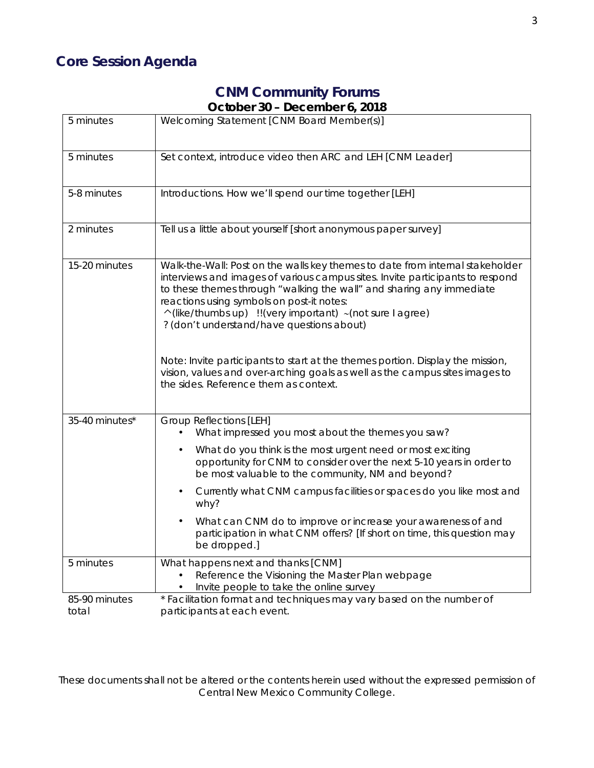# **Core Session Agenda**

## **CNM Community Forums October 30 – December 6, 2018**

| 5 minutes              | Welcoming Statement [CNM Board Member(s)]                                                                                                                                                                                                                                                                                                                                                                                                                                                                                                                                                              |
|------------------------|--------------------------------------------------------------------------------------------------------------------------------------------------------------------------------------------------------------------------------------------------------------------------------------------------------------------------------------------------------------------------------------------------------------------------------------------------------------------------------------------------------------------------------------------------------------------------------------------------------|
| 5 minutes              | Set context, introduce video then ARC and LEH [CNM Leader]                                                                                                                                                                                                                                                                                                                                                                                                                                                                                                                                             |
| 5-8 minutes            | Introductions. How we'll spend our time together [LEH]                                                                                                                                                                                                                                                                                                                                                                                                                                                                                                                                                 |
| 2 minutes              | Tell us a little about yourself [short anonymous paper survey]                                                                                                                                                                                                                                                                                                                                                                                                                                                                                                                                         |
| 15-20 minutes          | Walk-the-Wall: Post on the walls key themes to date from internal stakeholder<br>interviews and images of various campus sites. Invite participants to respond<br>to these themes through "walking the wall" and sharing any immediate<br>reactions using symbols on post-it notes:<br>^(like/thumbs up) !!(very important) ~(not sure I agree)<br>? (don't understand/have questions about)<br>Note: Invite participants to start at the themes portion. Display the mission,<br>vision, values and over-arching goals as well as the campus sites images to<br>the sides. Reference them as context. |
| 35-40 minutes*         | <b>Group Reflections [LEH]</b><br>What impressed you most about the themes you saw?<br>What do you think is the most urgent need or most exciting<br>opportunity for CNM to consider over the next 5-10 years in order to<br>be most valuable to the community, NM and beyond?<br>Currently what CNM campus facilities or spaces do you like most and<br>why?<br>What can CNM do to improve or increase your awareness of and<br>$\bullet$<br>participation in what CNM offers? [If short on time, this question may<br>be dropped.]                                                                   |
| 5 minutes              | What happens next and thanks [CNM]<br>Reference the Visioning the Master Plan webpage<br>Invite people to take the online survey                                                                                                                                                                                                                                                                                                                                                                                                                                                                       |
| 85-90 minutes<br>total | * Facilitation format and techniques may vary based on the number of<br>participants at each event.                                                                                                                                                                                                                                                                                                                                                                                                                                                                                                    |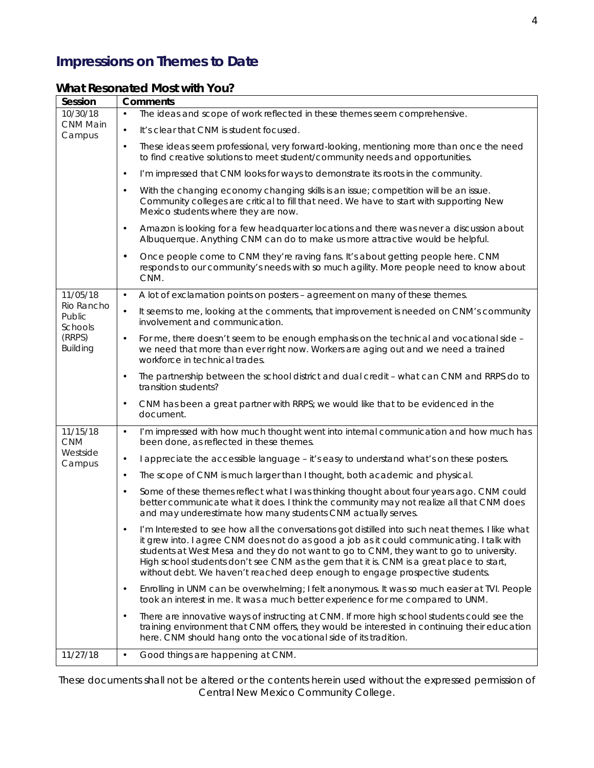# **Impressions on Themes to Date**

### *What Resonated Most with You?*

| Session                         | <b>Comments</b>                                                                                                                                                                                                                                                                                                                                                                                                                                                       |  |
|---------------------------------|-----------------------------------------------------------------------------------------------------------------------------------------------------------------------------------------------------------------------------------------------------------------------------------------------------------------------------------------------------------------------------------------------------------------------------------------------------------------------|--|
| 10/30/18                        | The ideas and scope of work reflected in these themes seem comprehensive.<br>$\bullet$                                                                                                                                                                                                                                                                                                                                                                                |  |
| CNM Main<br>Campus              | It's clear that CNM is student focused.<br>$\bullet$                                                                                                                                                                                                                                                                                                                                                                                                                  |  |
|                                 | These ideas seem professional, very forward-looking, mentioning more than once the need<br>$\bullet$<br>to find creative solutions to meet student/community needs and opportunities.                                                                                                                                                                                                                                                                                 |  |
|                                 | I'm impressed that CNM looks for ways to demonstrate its roots in the community.<br>$\bullet$                                                                                                                                                                                                                                                                                                                                                                         |  |
|                                 | With the changing economy changing skills is an issue; competition will be an issue.<br>$\bullet$<br>Community colleges are critical to fill that need. We have to start with supporting New<br>Mexico students where they are now.                                                                                                                                                                                                                                   |  |
|                                 | Amazon is looking for a few headquarter locations and there was never a discussion about<br>$\bullet$<br>Albuquerque. Anything CNM can do to make us more attractive would be helpful.                                                                                                                                                                                                                                                                                |  |
|                                 | Once people come to CNM they're raving fans. It's about getting people here. CNM<br>$\bullet$<br>responds to our community's needs with so much agility. More people need to know about<br>CNM.                                                                                                                                                                                                                                                                       |  |
| 11/05/18                        | A lot of exclamation points on posters - agreement on many of these themes.<br>$\bullet$                                                                                                                                                                                                                                                                                                                                                                              |  |
| Rio Rancho<br>Public<br>Schools | It seems to me, looking at the comments, that improvement is needed on CNM's community<br>$\bullet$<br>involvement and communication.                                                                                                                                                                                                                                                                                                                                 |  |
| (RRPS)<br><b>Building</b>       | For me, there doesn't seem to be enough emphasis on the technical and vocational side -<br>$\bullet$<br>we need that more than ever right now. Workers are aging out and we need a trained<br>workforce in technical trades.                                                                                                                                                                                                                                          |  |
|                                 | The partnership between the school district and dual credit - what can CNM and RRPS do to<br>$\bullet$<br>transition students?                                                                                                                                                                                                                                                                                                                                        |  |
|                                 | CNM has been a great partner with RRPS; we would like that to be evidenced in the<br>$\bullet$<br>document.                                                                                                                                                                                                                                                                                                                                                           |  |
| 11/15/18<br><b>CNM</b>          | I'm impressed with how much thought went into internal communication and how much has<br>$\bullet$<br>been done, as reflected in these themes.                                                                                                                                                                                                                                                                                                                        |  |
| Westside<br>Campus              | I appreciate the accessible language - it's easy to understand what's on these posters.<br>$\bullet$                                                                                                                                                                                                                                                                                                                                                                  |  |
|                                 | The scope of CNM is much larger than I thought, both academic and physical.<br>$\bullet$                                                                                                                                                                                                                                                                                                                                                                              |  |
|                                 | Some of these themes reflect what I was thinking thought about four years ago. CNM could<br>$\bullet$<br>better communicate what it does. I think the community may not realize all that CNM does<br>and may underestimate how many students CNM actually serves.                                                                                                                                                                                                     |  |
|                                 | I'm Interested to see how all the conversations got distilled into such neat themes. I like what<br>it grew into. I agree CNM does not do as good a job as it could communicating. I talk with<br>students at West Mesa and they do not want to go to CNM, they want to go to university.<br>High school students don't see CNM as the gem that it is. CNM is a great place to start,<br>without debt. We haven't reached deep enough to engage prospective students. |  |
|                                 | Enrolling in UNM can be overwhelming; I felt anonymous. It was so much easier at TVI. People<br>$\bullet$<br>took an interest in me. It was a much better experience for me compared to UNM.                                                                                                                                                                                                                                                                          |  |
|                                 | There are innovative ways of instructing at CNM. If more high school students could see the<br>$\bullet$<br>training environment that CNM offers, they would be interested in continuing their education<br>here. CNM should hang onto the vocational side of its tradition.                                                                                                                                                                                          |  |
| 11/27/18                        | $\bullet$<br>Good things are happening at CNM.                                                                                                                                                                                                                                                                                                                                                                                                                        |  |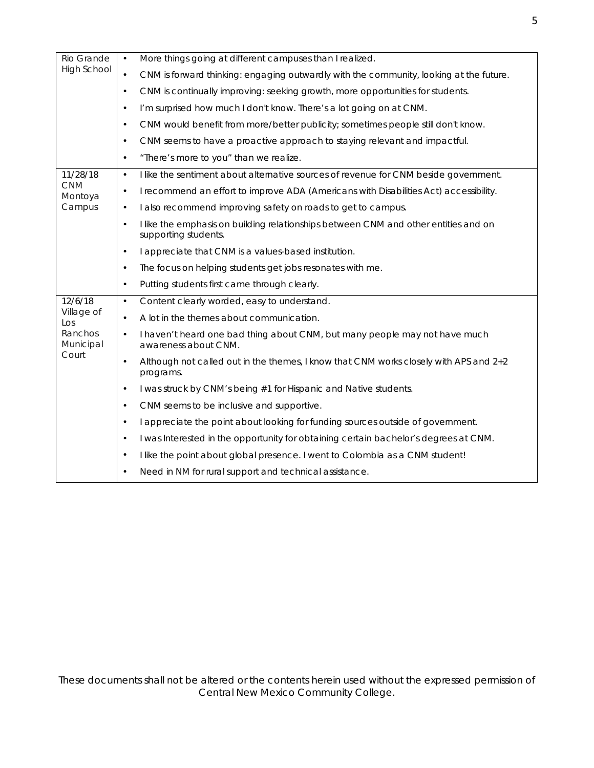| Rio Grande<br><b>High School</b>      | More things going at different campuses than I realized.<br>$\bullet$                                                    |
|---------------------------------------|--------------------------------------------------------------------------------------------------------------------------|
|                                       | CNM is forward thinking: engaging outwardly with the community, looking at the future.<br>$\bullet$                      |
|                                       | CNM is continually improving: seeking growth, more opportunities for students.<br>$\bullet$                              |
|                                       | I'm surprised how much I don't know. There's a lot going on at CNM.<br>$\bullet$                                         |
|                                       | CNM would benefit from more/better publicity; sometimes people still don't know.<br>$\bullet$                            |
|                                       | CNM seems to have a proactive approach to staying relevant and impactful.<br>$\bullet$                                   |
|                                       | "There's more to you" than we realize.<br>$\bullet$                                                                      |
| 11/28/18                              | I like the sentiment about alternative sources of revenue for CNM beside government.<br>$\bullet$                        |
| <b>CNM</b><br>Montoya                 | I recommend an effort to improve ADA (Americans with Disabilities Act) accessibility.<br>$\bullet$                       |
| Campus                                | I also recommend improving safety on roads to get to campus.<br>$\bullet$                                                |
|                                       | I like the emphasis on building relationships between CNM and other entities and on<br>$\bullet$<br>supporting students. |
|                                       | I appreciate that CNM is a values-based institution.<br>$\bullet$                                                        |
|                                       | The focus on helping students get jobs resonates with me.<br>$\bullet$                                                   |
|                                       | Putting students first came through clearly.<br>$\bullet$                                                                |
| 12/6/18                               | Content clearly worded, easy to understand.<br>$\bullet$                                                                 |
| Village of<br>$\mathsf{L}\mathsf{OS}$ | A lot in the themes about communication.<br>$\bullet$                                                                    |
| Ranchos<br>Municipal<br>Court         | I haven't heard one bad thing about CNM, but many people may not have much<br>$\bullet$<br>awareness about CNM.          |
|                                       | Although not called out in the themes, I know that CNM works closely with APS and 2+2<br>$\bullet$<br>programs.          |
|                                       | I was struck by CNM's being #1 for Hispanic and Native students.<br>$\bullet$                                            |
|                                       | CNM seems to be inclusive and supportive.<br>$\bullet$                                                                   |
|                                       | I appreciate the point about looking for funding sources outside of government.<br>$\bullet$                             |
|                                       | I was Interested in the opportunity for obtaining certain bachelor's degrees at CNM.<br>$\bullet$                        |
|                                       | I like the point about global presence. I went to Colombia as a CNM student!<br>$\bullet$                                |
|                                       | Need in NM for rural support and technical assistance.<br>$\bullet$                                                      |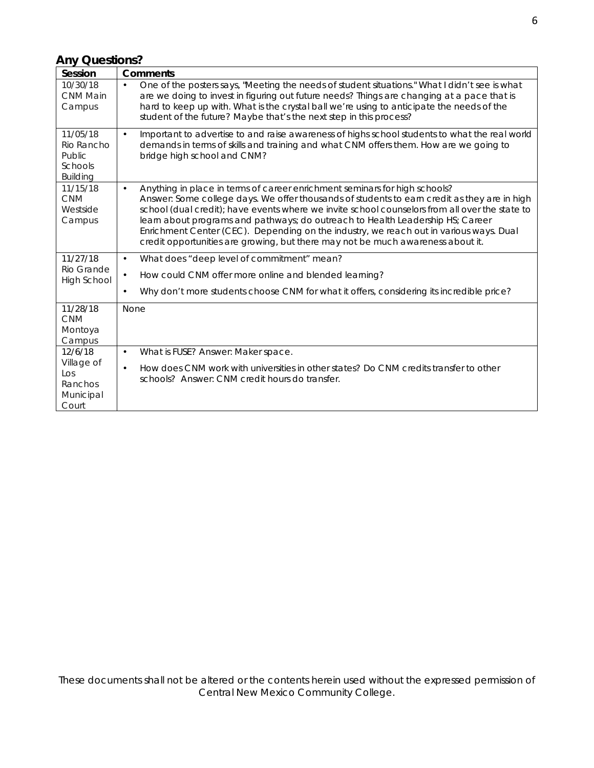### *Any Questions?*

| Session                                                        | <b>Comments</b>                                                                                                                                                                                                                                                                                                                                                                                                                                                                                                                                          |
|----------------------------------------------------------------|----------------------------------------------------------------------------------------------------------------------------------------------------------------------------------------------------------------------------------------------------------------------------------------------------------------------------------------------------------------------------------------------------------------------------------------------------------------------------------------------------------------------------------------------------------|
| 10/30/18<br><b>CNM Main</b><br>Campus                          | One of the posters says, "Meeting the needs of student situations." What I didn't see is what<br>$\bullet$<br>are we doing to invest in figuring out future needs? Things are changing at a pace that is<br>hard to keep up with. What is the crystal ball we're using to anticipate the needs of the<br>student of the future? Maybe that's the next step in this process?                                                                                                                                                                              |
| 11/05/18<br>Rio Rancho<br>Public<br>Schools<br><b>Building</b> | Important to advertise to and raise awareness of highs school students to what the real world<br>$\bullet$<br>demands in terms of skills and training and what CNM offers them. How are we going to<br>bridge high school and CNM?                                                                                                                                                                                                                                                                                                                       |
| 11/15/18<br><b>CNM</b><br>Westside<br>Campus                   | Anything in place in terms of career enrichment seminars for high schools?<br>$\bullet$<br>Answer: Some college days. We offer thousands of students to earn credit as they are in high<br>school (dual credit); have events where we invite school counselors from all over the state to<br>learn about programs and pathways; do outreach to Health Leadership HS; Career<br>Enrichment Center (CEC). Depending on the industry, we reach out in various ways. Dual<br>credit opportunities are growing, but there may not be much awareness about it. |
| 11/27/18                                                       | What does "deep level of commitment" mean?<br>$\bullet$                                                                                                                                                                                                                                                                                                                                                                                                                                                                                                  |
| Rio Grande<br><b>High School</b>                               | How could CNM offer more online and blended learning?<br>$\bullet$                                                                                                                                                                                                                                                                                                                                                                                                                                                                                       |
|                                                                | Why don't more students choose CNM for what it offers, considering its incredible price?<br>$\bullet$                                                                                                                                                                                                                                                                                                                                                                                                                                                    |
| 11/28/18<br><b>CNM</b><br>Montoya<br>Campus                    | None                                                                                                                                                                                                                                                                                                                                                                                                                                                                                                                                                     |
| 12/6/18                                                        | What is FUSE? Answer: Maker space.<br>$\bullet$                                                                                                                                                                                                                                                                                                                                                                                                                                                                                                          |
| Village of<br>LOS<br>Ranchos<br>Municipal<br>Court             | How does CNM work with universities in other states? Do CNM credits transfer to other<br>$\bullet$<br>schools? Answer: CNM credit hours do transfer.                                                                                                                                                                                                                                                                                                                                                                                                     |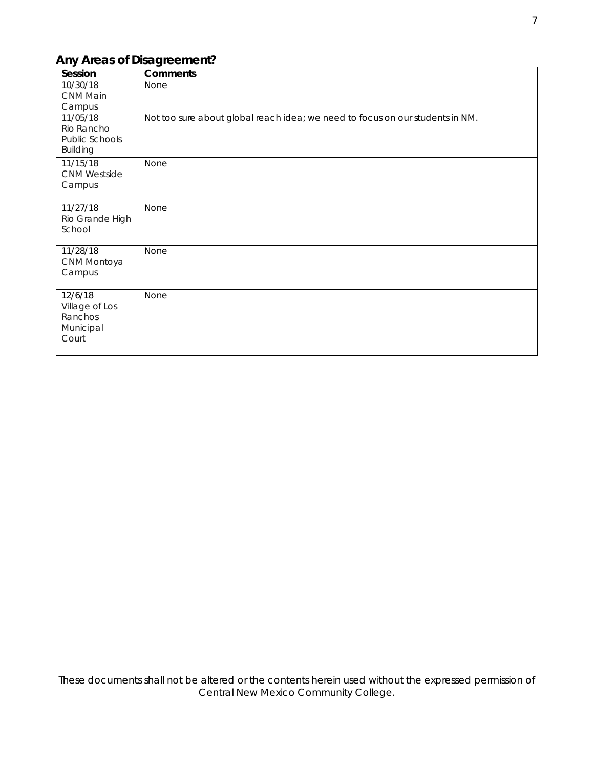### *Any Areas of Disagreement?*

| Session                                                     | <b>Comments</b>                                                               |
|-------------------------------------------------------------|-------------------------------------------------------------------------------|
| 10/30/18<br>CNM Main<br>Campus                              | None                                                                          |
| 11/05/18<br>Rio Rancho<br>Public Schools<br><b>Building</b> | Not too sure about global reach idea; we need to focus on our students in NM. |
| 11/15/18<br><b>CNM Westside</b><br>Campus                   | None                                                                          |
| 11/27/18<br>Rio Grande High<br>School                       | <b>None</b>                                                                   |
| 11/28/18<br>CNM Montoya<br>Campus                           | None                                                                          |
| 12/6/18<br>Village of Los<br>Ranchos<br>Municipal<br>Court  | None                                                                          |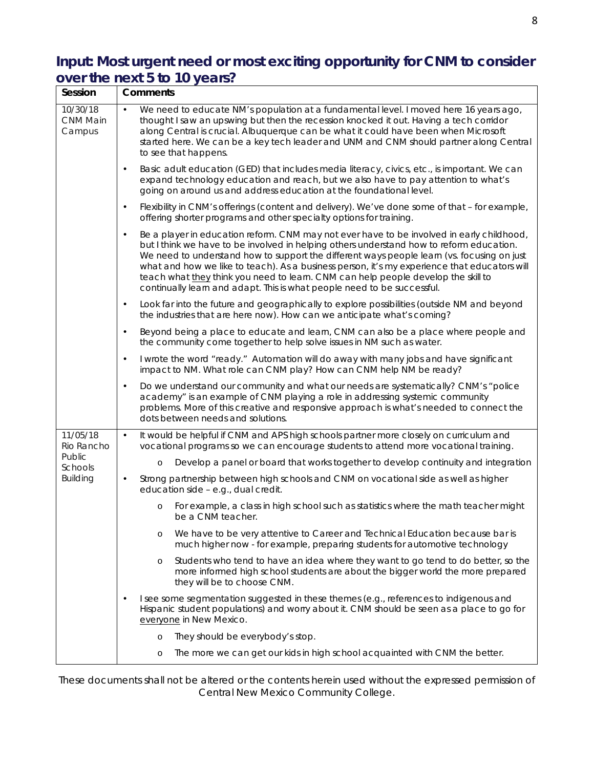## **Input: Most urgent need or most exciting opportunity for CNM to consider over the next 5 to 10 years?**

| Session                               | <b>Comments</b>                                                                                                                                                                                                                                                                                                                                                                                                                                                                                                                                                  |  |
|---------------------------------------|------------------------------------------------------------------------------------------------------------------------------------------------------------------------------------------------------------------------------------------------------------------------------------------------------------------------------------------------------------------------------------------------------------------------------------------------------------------------------------------------------------------------------------------------------------------|--|
| 10/30/18<br><b>CNM Main</b><br>Campus | We need to educate NM's population at a fundamental level. I moved here 16 years ago,<br>thought I saw an upswing but then the recession knocked it out. Having a tech corridor<br>along Central is crucial. Albuquerque can be what it could have been when Microsoft<br>started here. We can be a key tech leader and UNM and CNM should partner along Central<br>to see that happens.                                                                                                                                                                         |  |
|                                       | Basic adult education (GED) that includes media literacy, civics, etc., is important. We can<br>expand technology education and reach, but we also have to pay attention to what's<br>going on around us and address education at the foundational level.                                                                                                                                                                                                                                                                                                        |  |
|                                       | Flexibility in CNM's offerings (content and delivery). We've done some of that - for example,<br>$\bullet$<br>offering shorter programs and other specialty options for training.                                                                                                                                                                                                                                                                                                                                                                                |  |
|                                       | Be a player in education reform. CNM may not ever have to be involved in early childhood,<br>$\bullet$<br>but I think we have to be involved in helping others understand how to reform education.<br>We need to understand how to support the different ways people learn (vs. focusing on just<br>what and how we like to teach). As a business person, it's my experience that educators will<br>teach what they think you need to learn. CNM can help people develop the skill to<br>continually learn and adapt. This is what people need to be successful. |  |
|                                       | Look far into the future and geographically to explore possibilities (outside NM and beyond<br>$\bullet$<br>the industries that are here now). How can we anticipate what's coming?                                                                                                                                                                                                                                                                                                                                                                              |  |
|                                       | Beyond being a place to educate and learn, CNM can also be a place where people and<br>$\bullet$<br>the community come together to help solve issues in NM such as water.                                                                                                                                                                                                                                                                                                                                                                                        |  |
|                                       | I wrote the word "ready." Automation will do away with many jobs and have significant<br>$\bullet$<br>impact to NM. What role can CNM play? How can CNM help NM be ready?                                                                                                                                                                                                                                                                                                                                                                                        |  |
|                                       | Do we understand our community and what our needs are systematically? CNM's "police<br>$\bullet$<br>academy" is an example of CNM playing a role in addressing systemic community<br>problems. More of this creative and responsive approach is what's needed to connect the<br>dots between needs and solutions.                                                                                                                                                                                                                                                |  |
| 11/05/18<br>Rio Rancho                | It would be helpful if CNM and APS high schools partner more closely on curriculum and<br>$\bullet$<br>vocational programs so we can encourage students to attend more vocational training.                                                                                                                                                                                                                                                                                                                                                                      |  |
| Public<br>Schools                     | Develop a panel or board that works together to develop continuity and integration<br>$\circ$                                                                                                                                                                                                                                                                                                                                                                                                                                                                    |  |
| <b>Building</b>                       | Strong partnership between high schools and CNM on vocational side as well as higher<br>$\bullet$<br>education side - e.g., dual credit.                                                                                                                                                                                                                                                                                                                                                                                                                         |  |
|                                       | For example, a class in high school such as statistics where the math teacher might<br>$\circ$<br>be a CNM teacher.                                                                                                                                                                                                                                                                                                                                                                                                                                              |  |
|                                       | We have to be very attentive to Career and Technical Education because bar is<br>O<br>much higher now - for example, preparing students for automotive technology                                                                                                                                                                                                                                                                                                                                                                                                |  |
|                                       | Students who tend to have an idea where they want to go tend to do better, so the<br>$\circ$<br>more informed high school students are about the bigger world the more prepared<br>they will be to choose CNM.                                                                                                                                                                                                                                                                                                                                                   |  |
|                                       | I see some segmentation suggested in these themes (e.g., references to indigenous and<br>Hispanic student populations) and worry about it. CNM should be seen as a place to go for<br>everyone in New Mexico.                                                                                                                                                                                                                                                                                                                                                    |  |
|                                       | They should be everybody's stop.<br>$\circ$                                                                                                                                                                                                                                                                                                                                                                                                                                                                                                                      |  |
|                                       | The more we can get our kids in high school acquainted with CNM the better.<br>$\circ$                                                                                                                                                                                                                                                                                                                                                                                                                                                                           |  |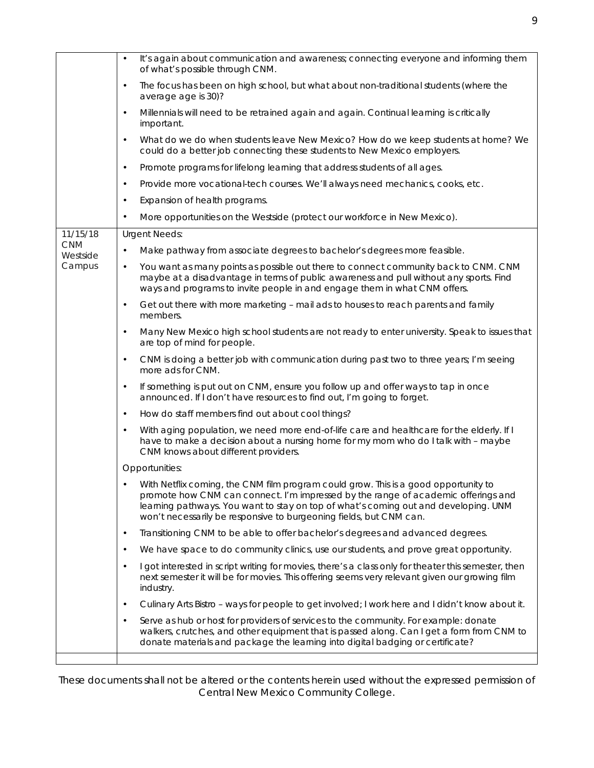|                        | It's again about communication and awareness; connecting everyone and informing them<br>of what's possible through CNM.                                                                                                                                                                                                               |
|------------------------|---------------------------------------------------------------------------------------------------------------------------------------------------------------------------------------------------------------------------------------------------------------------------------------------------------------------------------------|
|                        | The focus has been on high school, but what about non-traditional students (where the<br>$\bullet$<br>average age is 30)?                                                                                                                                                                                                             |
|                        | Millennials will need to be retrained again and again. Continual learning is critically<br>$\bullet$<br>important.                                                                                                                                                                                                                    |
|                        | What do we do when students leave New Mexico? How do we keep students at home? We<br>$\bullet$<br>could do a better job connecting these students to New Mexico employers.                                                                                                                                                            |
|                        | Promote programs for lifelong learning that address students of all ages.<br>$\bullet$                                                                                                                                                                                                                                                |
|                        | Provide more vocational-tech courses. We'll always need mechanics, cooks, etc.<br>$\bullet$                                                                                                                                                                                                                                           |
|                        | Expansion of health programs.<br>$\bullet$                                                                                                                                                                                                                                                                                            |
|                        | More opportunities on the Westside (protect our workforce in New Mexico).<br>$\bullet$                                                                                                                                                                                                                                                |
| 11/15/18               | <b>Urgent Needs:</b>                                                                                                                                                                                                                                                                                                                  |
| <b>CNM</b><br>Westside | Make pathway from associate degrees to bachelor's degrees more feasible.<br>$\bullet$                                                                                                                                                                                                                                                 |
| Campus                 | You want as many points as possible out there to connect community back to CNM. CNM<br>$\bullet$<br>maybe at a disadvantage in terms of public awareness and pull without any sports. Find<br>ways and programs to invite people in and engage them in what CNM offers.                                                               |
|                        | Get out there with more marketing - mail ads to houses to reach parents and family<br>$\bullet$<br>members.                                                                                                                                                                                                                           |
|                        | Many New Mexico high school students are not ready to enter university. Speak to issues that<br>$\bullet$<br>are top of mind for people.                                                                                                                                                                                              |
|                        | CNM is doing a better job with communication during past two to three years; I'm seeing<br>$\bullet$<br>more ads for CNM.                                                                                                                                                                                                             |
|                        | If something is put out on CNM, ensure you follow up and offer ways to tap in once<br>$\bullet$<br>announced. If I don't have resources to find out, I'm going to forget.                                                                                                                                                             |
|                        | How do staff members find out about cool things?<br>$\bullet$                                                                                                                                                                                                                                                                         |
|                        | With aging population, we need more end-of-life care and healthcare for the elderly. If I<br>$\bullet$<br>have to make a decision about a nursing home for my mom who do I talk with - maybe<br>CNM knows about different providers.                                                                                                  |
|                        | Opportunities:                                                                                                                                                                                                                                                                                                                        |
|                        | With Netflix coming, the CNM film program could grow. This is a good opportunity to<br>promote how CNM can connect. I'm impressed by the range of academic offerings and<br>learning pathways. You want to stay on top of what's coming out and developing. UNM<br>won't necessarily be responsive to burgeoning fields, but CNM can. |
|                        | Transitioning CNM to be able to offer bachelor's degrees and advanced degrees.<br>$\bullet$                                                                                                                                                                                                                                           |
|                        | We have space to do community clinics, use our students, and prove great opportunity.<br>$\bullet$                                                                                                                                                                                                                                    |
|                        | I got interested in script writing for movies, there's a class only for theater this semester, then<br>$\bullet$<br>next semester it will be for movies. This offering seems very relevant given our growing film<br>industry.                                                                                                        |
|                        | Culinary Arts Bistro - ways for people to get involved; I work here and I didn't know about it.<br>$\bullet$                                                                                                                                                                                                                          |
|                        | Serve as hub or host for providers of services to the community. For example: donate<br>$\bullet$<br>walkers, crutches, and other equipment that is passed along. Can I get a form from CNM to<br>donate materials and package the learning into digital badging or certificate?                                                      |
|                        |                                                                                                                                                                                                                                                                                                                                       |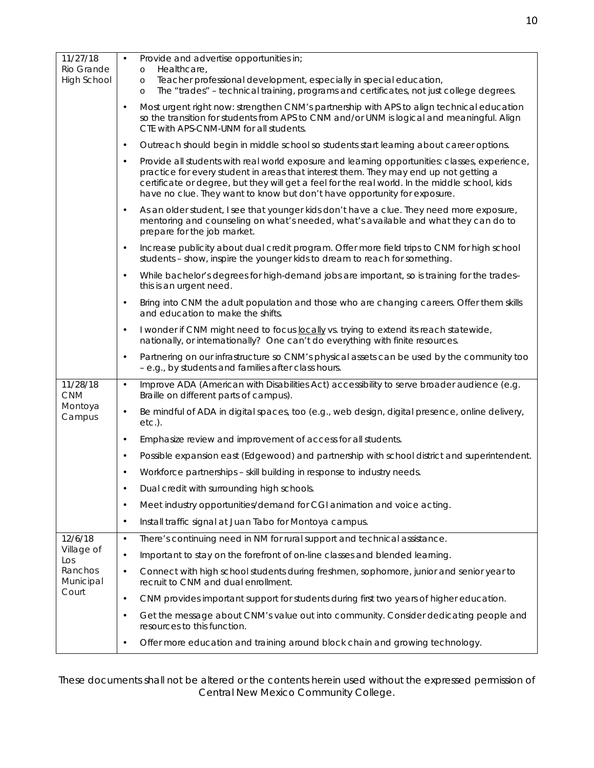| 11/27/18<br>Rio Grande<br><b>High School</b> | Provide and advertise opportunities in;<br>Healthcare,<br>$\circ$<br>Teacher professional development, especially in special education,<br>$\circ$<br>The "trades" - technical training, programs and certificates, not just college degrees.                                                                                                                                      |
|----------------------------------------------|------------------------------------------------------------------------------------------------------------------------------------------------------------------------------------------------------------------------------------------------------------------------------------------------------------------------------------------------------------------------------------|
|                                              | $\circ$<br>Most urgent right now: strengthen CNM's partnership with APS to align technical education<br>$\bullet$<br>so the transition for students from APS to CNM and/or UNM is logical and meaningful. Align<br>CTE with APS-CNM-UNM for all students.                                                                                                                          |
|                                              | Outreach should begin in middle school so students start learning about career options.<br>$\bullet$                                                                                                                                                                                                                                                                               |
|                                              | Provide all students with real world exposure and learning opportunities: classes, experience,<br>$\bullet$<br>practice for every student in areas that interest them. They may end up not getting a<br>certificate or degree, but they will get a feel for the real world. In the middle school, kids<br>have no clue. They want to know but don't have opportunity for exposure. |
|                                              | As an older student, I see that younger kids don't have a clue. They need more exposure,<br>$\bullet$<br>mentoring and counseling on what's needed, what's available and what they can do to<br>prepare for the job market.                                                                                                                                                        |
|                                              | Increase publicity about dual credit program. Offer more field trips to CNM for high school<br>$\bullet$<br>students - show, inspire the younger kids to dream to reach for something.                                                                                                                                                                                             |
|                                              | While bachelor's degrees for high-demand jobs are important, so is training for the trades-<br>$\bullet$<br>this is an urgent need.                                                                                                                                                                                                                                                |
|                                              | Bring into CNM the adult population and those who are changing careers. Offer them skills<br>$\bullet$<br>and education to make the shifts.                                                                                                                                                                                                                                        |
|                                              | I wonder if CNM might need to focus locally vs. trying to extend its reach statewide,<br>$\bullet$<br>nationally, or internationally? One can't do everything with finite resources.                                                                                                                                                                                               |
|                                              | Partnering on our infrastructure so CNM's physical assets can be used by the community too<br>$\bullet$<br>- e.g., by students and families after class hours.                                                                                                                                                                                                                     |
| 11/28/18<br><b>CNM</b>                       | Improve ADA (American with Disabilities Act) accessibility to serve broader audience (e.g.<br>$\bullet$<br>Braille on different parts of campus).                                                                                                                                                                                                                                  |
| Montoya<br>Campus                            | Be mindful of ADA in digital spaces, too (e.g., web design, digital presence, online delivery,<br>$\bullet$<br>$etc.$ ).                                                                                                                                                                                                                                                           |
|                                              | Emphasize review and improvement of access for all students.<br>$\bullet$                                                                                                                                                                                                                                                                                                          |
|                                              | Possible expansion east (Edgewood) and partnership with school district and superintendent.<br>$\bullet$                                                                                                                                                                                                                                                                           |
|                                              | Workforce partnerships - skill building in response to industry needs.                                                                                                                                                                                                                                                                                                             |
|                                              | Dual credit with surrounding high schools.                                                                                                                                                                                                                                                                                                                                         |
|                                              | Meet industry opportunities/demand for CGI animation and voice acting.<br>$\bullet$                                                                                                                                                                                                                                                                                                |
|                                              | Install traffic signal at Juan Tabo for Montoya campus.<br>$\bullet$                                                                                                                                                                                                                                                                                                               |
| 12/6/18                                      | There's continuing need in NM for rural support and technical assistance.<br>$\bullet$                                                                                                                                                                                                                                                                                             |
| Village of<br>Los                            | Important to stay on the forefront of on-line classes and blended learning.<br>$\bullet$                                                                                                                                                                                                                                                                                           |
| Ranchos<br>Municipal<br>Court                | Connect with high school students during freshmen, sophomore, junior and senior year to<br>$\bullet$<br>recruit to CNM and dual enrollment.                                                                                                                                                                                                                                        |
|                                              | CNM provides important support for students during first two years of higher education.<br>$\bullet$                                                                                                                                                                                                                                                                               |
|                                              | Get the message about CNM's value out into community. Consider dedicating people and<br>$\bullet$<br>resources to this function.                                                                                                                                                                                                                                                   |
|                                              | Offer more education and training around block chain and growing technology.<br>$\bullet$                                                                                                                                                                                                                                                                                          |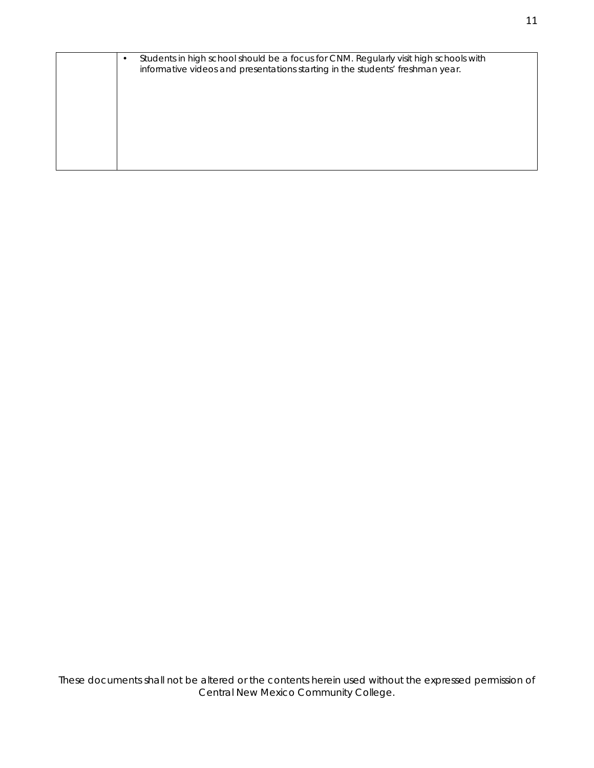|  | Students in high school should be a focus for CNM. Regularly visit high schools with<br>informative videos and presentations starting in the students' freshman year. |
|--|-----------------------------------------------------------------------------------------------------------------------------------------------------------------------|
|  |                                                                                                                                                                       |
|  |                                                                                                                                                                       |
|  |                                                                                                                                                                       |
|  |                                                                                                                                                                       |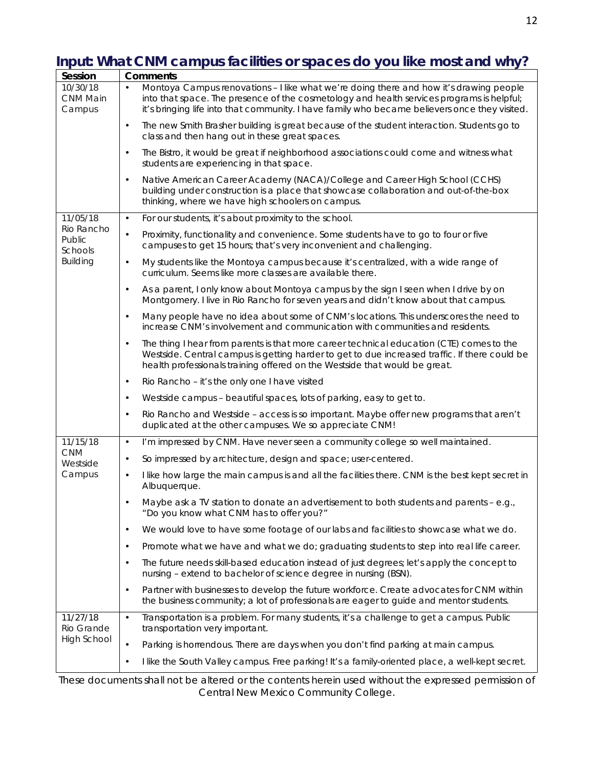# **Input: What CNM campus facilities or spaces do you like most and why?**

| Session                               | <b>Comments</b>                                                                                                                                                                                                                                                                      |  |
|---------------------------------------|--------------------------------------------------------------------------------------------------------------------------------------------------------------------------------------------------------------------------------------------------------------------------------------|--|
| 10/30/18<br><b>CNM Main</b><br>Campus | Montoya Campus renovations - I like what we're doing there and how it's drawing people<br>into that space. The presence of the cosmetology and health services programs is helpful;<br>it's bringing life into that community. I have family who became believers once they visited. |  |
|                                       | The new Smith Brasher building is great because of the student interaction. Students go to<br>$\bullet$<br>class and then hang out in these great spaces.                                                                                                                            |  |
|                                       | The Bistro, it would be great if neighborhood associations could come and witness what<br>$\bullet$<br>students are experiencing in that space.                                                                                                                                      |  |
|                                       | Native American Career Academy (NACA)/College and Career High School (CCHS)<br>$\bullet$<br>building under construction is a place that showcase collaboration and out-of-the-box<br>thinking, where we have high schoolers on campus.                                               |  |
| 11/05/18                              | For our students, it's about proximity to the school.<br>$\bullet$                                                                                                                                                                                                                   |  |
| Rio Rancho<br>Public<br>Schools       | Proximity, functionality and convenience. Some students have to go to four or five<br>$\bullet$<br>campuses to get 15 hours; that's very inconvenient and challenging.                                                                                                               |  |
| <b>Building</b>                       | My students like the Montoya campus because it's centralized, with a wide range of<br>$\bullet$<br>curriculum. Seems like more classes are available there.                                                                                                                          |  |
|                                       | As a parent, I only know about Montoya campus by the sign I seen when I drive by on<br>$\bullet$<br>Montgomery. I live in Rio Rancho for seven years and didn't know about that campus.                                                                                              |  |
|                                       | Many people have no idea about some of CNM's locations. This underscores the need to<br>$\bullet$<br>increase CNM's involvement and communication with communities and residents.                                                                                                    |  |
|                                       | The thing I hear from parents is that more career technical education (CTE) comes to the<br>$\bullet$<br>Westside. Central campus is getting harder to get to due increased traffic. If there could be<br>health professionals training offered on the Westside that would be great. |  |
|                                       | Rio Rancho - it's the only one I have visited<br>$\bullet$                                                                                                                                                                                                                           |  |
|                                       | Westside campus - beautiful spaces, lots of parking, easy to get to.<br>$\bullet$                                                                                                                                                                                                    |  |
|                                       | Rio Rancho and Westside - access is so important. Maybe offer new programs that aren't<br>$\bullet$<br>duplicated at the other campuses. We so appreciate CNM!                                                                                                                       |  |
| 11/15/18                              | I'm impressed by CNM. Have never seen a community college so well maintained.<br>$\bullet$                                                                                                                                                                                           |  |
| <b>CNM</b><br>Westside                | So impressed by architecture, design and space; user-centered.<br>$\bullet$                                                                                                                                                                                                          |  |
| Campus                                | I like how large the main campus is and all the facilities there. CNM is the best kept secret in<br>$\bullet$<br>Albuquerque.                                                                                                                                                        |  |
|                                       | Maybe ask a TV station to donate an advertisement to both students and parents - e.g.,<br>"Do you know what CNM has to offer you?"                                                                                                                                                   |  |
|                                       | We would love to have some footage of our labs and facilities to showcase what we do.<br>$\bullet$                                                                                                                                                                                   |  |
|                                       | Promote what we have and what we do; graduating students to step into real life career.<br>$\bullet$                                                                                                                                                                                 |  |
|                                       | The future needs skill-based education instead of just degrees; let's apply the concept to<br>$\bullet$<br>nursing - extend to bachelor of science degree in nursing (BSN).                                                                                                          |  |
|                                       | Partner with businesses to develop the future workforce. Create advocates for CNM within<br>$\bullet$<br>the business community; a lot of professionals are eager to guide and mentor students.                                                                                      |  |
| 11/27/18<br>Rio Grande                | Transportation is a problem. For many students, it's a challenge to get a campus. Public<br>$\bullet$<br>transportation very important.                                                                                                                                              |  |
| <b>High School</b>                    | Parking is horrendous. There are days when you don't find parking at main campus.<br>$\bullet$                                                                                                                                                                                       |  |
|                                       | I like the South Valley campus. Free parking! It's a family-oriented place, a well-kept secret.<br>$\bullet$                                                                                                                                                                         |  |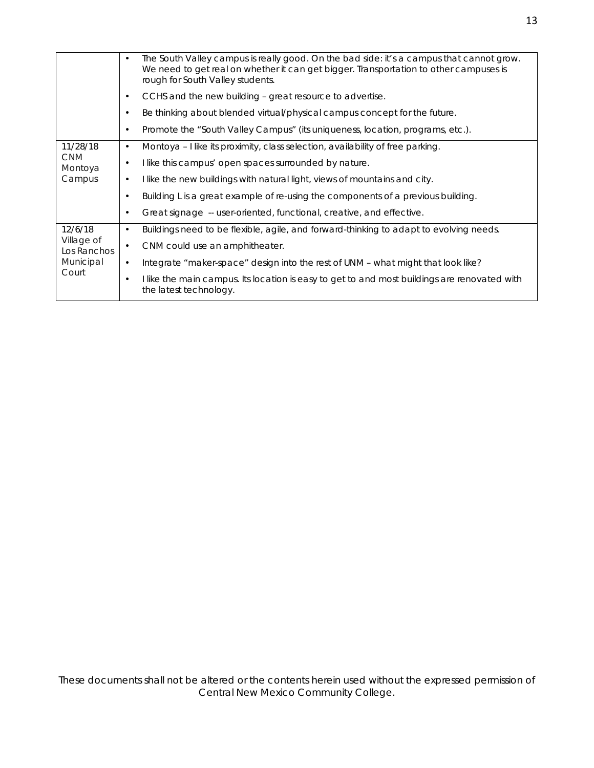|                                                            | $\bullet$ | The South Valley campus is really good. On the bad side: it's a campus that cannot grow.<br>We need to get real on whether it can get bigger. Transportation to other campuses is<br>rough for South Valley students. |
|------------------------------------------------------------|-----------|-----------------------------------------------------------------------------------------------------------------------------------------------------------------------------------------------------------------------|
|                                                            |           | CCHS and the new building - great resource to advertise.                                                                                                                                                              |
|                                                            |           | Be thinking about blended virtual/physical campus concept for the future.                                                                                                                                             |
|                                                            | $\bullet$ | Promote the "South Valley Campus" (its uniqueness, location, programs, etc.).                                                                                                                                         |
| 11/28/18                                                   | $\bullet$ | Montoya - I like its proximity, class selection, availability of free parking.                                                                                                                                        |
| <b>CNM</b><br>Montoya                                      | ٠         | I like this campus' open spaces surrounded by nature.                                                                                                                                                                 |
| Campus                                                     |           | I like the new buildings with natural light, views of mountains and city.                                                                                                                                             |
|                                                            |           | Building L is a great example of re-using the components of a previous building.                                                                                                                                      |
|                                                            |           | Great signage -- user-oriented, functional, creative, and effective.                                                                                                                                                  |
| 12/6/18<br>Village of<br>Los Ranchos<br>Municipal<br>Court | $\bullet$ | Buildings need to be flexible, agile, and forward-thinking to adapt to evolving needs.                                                                                                                                |
|                                                            |           | CNM could use an amphitheater.                                                                                                                                                                                        |
|                                                            | $\bullet$ | Integrate "maker-space" design into the rest of UNM – what might that look like?                                                                                                                                      |
|                                                            |           | I like the main campus. Its location is easy to get to and most buildings are renovated with<br>the latest technology.                                                                                                |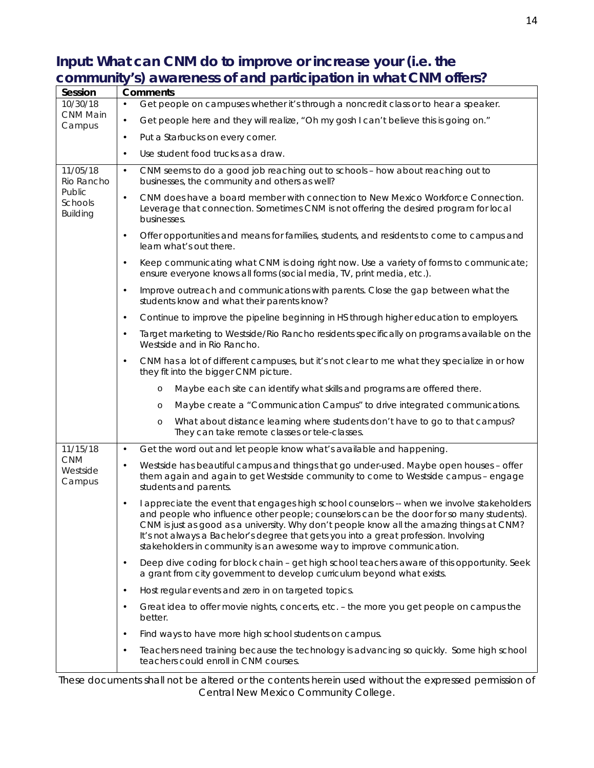## **Input: What can CNM do to improve or increase your (i.e. the community's) awareness of and participation in what CNM offers?**

| Session                              | <b>Comments</b> |                                                                                                                                                                                                                                                                                                                                                                                                                                                      |
|--------------------------------------|-----------------|------------------------------------------------------------------------------------------------------------------------------------------------------------------------------------------------------------------------------------------------------------------------------------------------------------------------------------------------------------------------------------------------------------------------------------------------------|
| 10/30/18                             | $\bullet$       | Get people on campuses whether it's through a noncredit class or to hear a speaker.                                                                                                                                                                                                                                                                                                                                                                  |
| CNM Main<br>Campus                   | $\bullet$       | Get people here and they will realize, "Oh my gosh I can't believe this is going on."                                                                                                                                                                                                                                                                                                                                                                |
|                                      | $\bullet$       | Put a Starbucks on every corner.                                                                                                                                                                                                                                                                                                                                                                                                                     |
|                                      | $\bullet$       | Use student food trucks as a draw.                                                                                                                                                                                                                                                                                                                                                                                                                   |
| 11/05/18<br>Rio Rancho               | $\bullet$       | CNM seems to do a good job reaching out to schools - how about reaching out to<br>businesses, the community and others as well?                                                                                                                                                                                                                                                                                                                      |
| Public<br>Schools<br><b>Building</b> | $\bullet$       | CNM does have a board member with connection to New Mexico Workforce Connection.<br>Leverage that connection. Sometimes CNM is not offering the desired program for local<br>businesses.                                                                                                                                                                                                                                                             |
|                                      | $\bullet$       | Offer opportunities and means for families, students, and residents to come to campus and<br>learn what's out there.                                                                                                                                                                                                                                                                                                                                 |
|                                      | $\bullet$       | Keep communicating what CNM is doing right now. Use a variety of forms to communicate;<br>ensure everyone knows all forms (social media, TV, print media, etc.).                                                                                                                                                                                                                                                                                     |
|                                      | $\bullet$       | Improve outreach and communications with parents. Close the gap between what the<br>students know and what their parents know?                                                                                                                                                                                                                                                                                                                       |
|                                      | $\bullet$       | Continue to improve the pipeline beginning in HS through higher education to employers.                                                                                                                                                                                                                                                                                                                                                              |
|                                      | $\bullet$       | Target marketing to Westside/Rio Rancho residents specifically on programs available on the<br>Westside and in Rio Rancho.                                                                                                                                                                                                                                                                                                                           |
|                                      | $\bullet$       | CNM has a lot of different campuses, but it's not clear to me what they specialize in or how<br>they fit into the bigger CNM picture.                                                                                                                                                                                                                                                                                                                |
|                                      |                 | Maybe each site can identify what skills and programs are offered there.<br>$\circ$                                                                                                                                                                                                                                                                                                                                                                  |
|                                      |                 | Maybe create a "Communication Campus" to drive integrated communications.<br>$\circ$                                                                                                                                                                                                                                                                                                                                                                 |
|                                      |                 | What about distance learning where students don't have to go to that campus?<br>$\circ$<br>They can take remote classes or tele-classes.                                                                                                                                                                                                                                                                                                             |
| 11/15/18                             | $\bullet$       | Get the word out and let people know what's available and happening.                                                                                                                                                                                                                                                                                                                                                                                 |
| <b>CNM</b><br>Westside<br>Campus     | $\bullet$       | Westside has beautiful campus and things that go under-used. Maybe open houses - offer<br>them again and again to get Westside community to come to Westside campus - engage<br>students and parents.                                                                                                                                                                                                                                                |
|                                      | $\bullet$       | I appreciate the event that engages high school counselors -- when we involve stakeholders<br>and people who influence other people; counselors can be the door for so many students).<br>CNM is just as good as a university. Why don't people know all the amazing things at CNM?<br>It's not always a Bachelor's degree that gets you into a great profession. Involving<br>stakeholders in community is an awesome way to improve communication. |
|                                      | $\bullet$       | Deep dive coding for block chain - get high school teachers aware of this opportunity. Seek<br>a grant from city government to develop curriculum beyond what exists.                                                                                                                                                                                                                                                                                |
|                                      | $\bullet$       | Host regular events and zero in on targeted topics.                                                                                                                                                                                                                                                                                                                                                                                                  |
|                                      | $\bullet$       | Great idea to offer movie nights, concerts, etc. - the more you get people on campus the<br>better.                                                                                                                                                                                                                                                                                                                                                  |
|                                      | $\bullet$       | Find ways to have more high school students on campus.                                                                                                                                                                                                                                                                                                                                                                                               |
|                                      |                 | Teachers need training because the technology is advancing so quickly. Some high school<br>teachers could enroll in CNM courses.                                                                                                                                                                                                                                                                                                                     |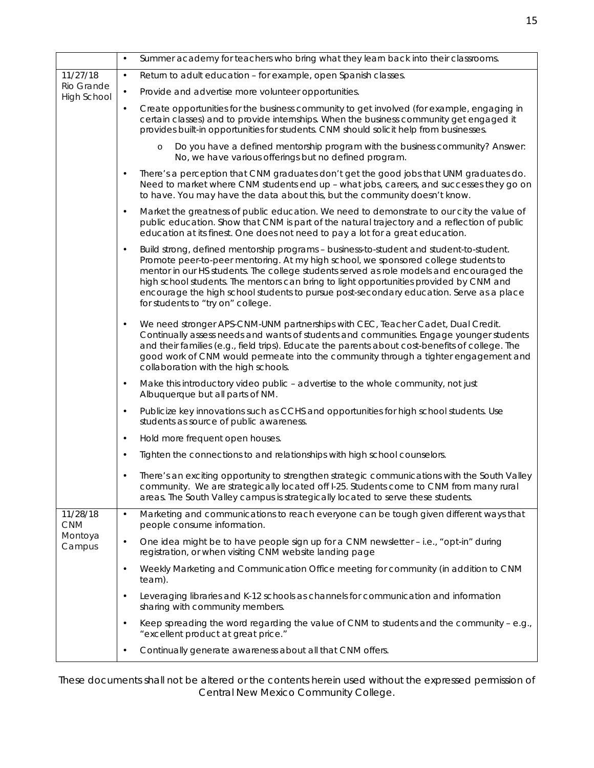|                                              | $\bullet$ | Summer academy for teachers who bring what they learn back into their classrooms.                                                                                                                                                                                                                                                                                                                                                                                                                    |
|----------------------------------------------|-----------|------------------------------------------------------------------------------------------------------------------------------------------------------------------------------------------------------------------------------------------------------------------------------------------------------------------------------------------------------------------------------------------------------------------------------------------------------------------------------------------------------|
| 11/27/18<br>Rio Grande<br><b>High School</b> | $\bullet$ | Return to adult education - for example, open Spanish classes.                                                                                                                                                                                                                                                                                                                                                                                                                                       |
|                                              | $\bullet$ | Provide and advertise more volunteer opportunities.                                                                                                                                                                                                                                                                                                                                                                                                                                                  |
|                                              |           | Create opportunities for the business community to get involved (for example, engaging in<br>certain classes) and to provide internships. When the business community get engaged it<br>provides built-in opportunities for students. CNM should solicit help from businesses.                                                                                                                                                                                                                       |
|                                              |           | Do you have a defined mentorship program with the business community? Answer:<br>$\circ$<br>No, we have various offerings but no defined program.                                                                                                                                                                                                                                                                                                                                                    |
|                                              |           | There's a perception that CNM graduates don't get the good jobs that UNM graduates do.<br>Need to market where CNM students end up - what jobs, careers, and successes they go on<br>to have. You may have the data about this, but the community doesn't know.                                                                                                                                                                                                                                      |
|                                              | $\bullet$ | Market the greatness of public education. We need to demonstrate to our city the value of<br>public education. Show that CNM is part of the natural trajectory and a reflection of public<br>education at its finest. One does not need to pay a lot for a great education.                                                                                                                                                                                                                          |
|                                              |           | Build strong, defined mentorship programs - business-to-student and student-to-student.<br>Promote peer-to-peer mentoring. At my high school, we sponsored college students to<br>mentor in our HS students. The college students served as role models and encouraged the<br>high school students. The mentors can bring to light opportunities provided by CNM and<br>encourage the high school students to pursue post-secondary education. Serve as a place<br>for students to "try on" college. |
|                                              | $\bullet$ | We need stronger APS-CNM-UNM partnerships with CEC, Teacher Cadet, Dual Credit.<br>Continually assess needs and wants of students and communities. Engage younger students<br>and their families (e.g., field trips). Educate the parents about cost-benefits of college. The<br>good work of CNM would permeate into the community through a tighter engagement and<br>collaboration with the high schools.                                                                                         |
|                                              | $\bullet$ | Make this introductory video public - advertise to the whole community, not just<br>Albuquerque but all parts of NM.                                                                                                                                                                                                                                                                                                                                                                                 |
|                                              | $\bullet$ | Publicize key innovations such as CCHS and opportunities for high school students. Use<br>students as source of public awareness.                                                                                                                                                                                                                                                                                                                                                                    |
|                                              | $\bullet$ | Hold more frequent open houses.                                                                                                                                                                                                                                                                                                                                                                                                                                                                      |
|                                              | $\bullet$ | Tighten the connections to and relationships with high school counselors.                                                                                                                                                                                                                                                                                                                                                                                                                            |
|                                              |           | There's an exciting opportunity to strengthen strategic communications with the South Valley<br>community. We are strategically located off I-25. Students come to CNM from many rural<br>areas. The South Valley campus is strategically located to serve these students.                                                                                                                                                                                                                           |
| 11/28/18<br><b>CNM</b><br>Montoya<br>Campus  | $\bullet$ | Marketing and communications to reach everyone can be tough given different ways that<br>people consume information.                                                                                                                                                                                                                                                                                                                                                                                 |
|                                              | $\bullet$ | One idea might be to have people sign up for a CNM newsletter - i.e., "opt-in" during<br>registration, or when visiting CNM website landing page                                                                                                                                                                                                                                                                                                                                                     |
|                                              | $\bullet$ | Weekly Marketing and Communication Office meeting for community (in addition to CNM<br>team).                                                                                                                                                                                                                                                                                                                                                                                                        |
|                                              | $\bullet$ | Leveraging libraries and K-12 schools as channels for communication and information<br>sharing with community members.                                                                                                                                                                                                                                                                                                                                                                               |
|                                              | $\bullet$ | Keep spreading the word regarding the value of CNM to students and the community - e.g.,<br>"excellent product at great price."                                                                                                                                                                                                                                                                                                                                                                      |
|                                              | $\bullet$ | Continually generate awareness about all that CNM offers.                                                                                                                                                                                                                                                                                                                                                                                                                                            |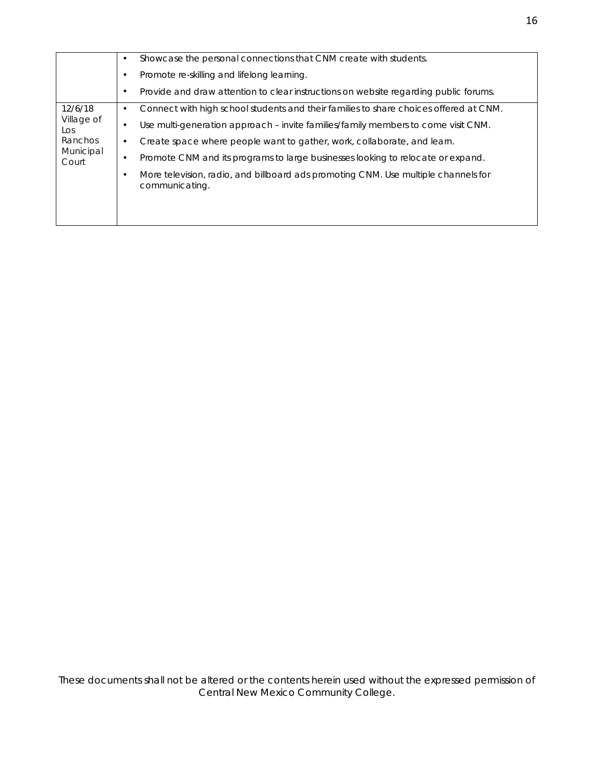| 12/6/18<br>Village of<br>Los<br>Ranchos<br>Municipal<br>Court | Showcase the personal connections that CNM create with students.<br>٠<br>Promote re-skilling and lifelong learning.<br>٠                                                       |
|---------------------------------------------------------------|--------------------------------------------------------------------------------------------------------------------------------------------------------------------------------|
|                                                               | Provide and draw attention to clear instructions on website regarding public forums.<br>٠                                                                                      |
|                                                               | Connect with high school students and their families to share choices offered at CNM.<br>٠                                                                                     |
|                                                               | Use multi-generation approach – invite families/family members to come visit CNM.<br>٠<br>Create space where people want to gather, work, collaborate, and learn.<br>$\bullet$ |
|                                                               | Promote CNM and its programs to large businesses looking to relocate or expand.<br>$\bullet$                                                                                   |
|                                                               | More television, radio, and billboard ads promoting CNM. Use multiple channels for<br>communicating.                                                                           |
|                                                               |                                                                                                                                                                                |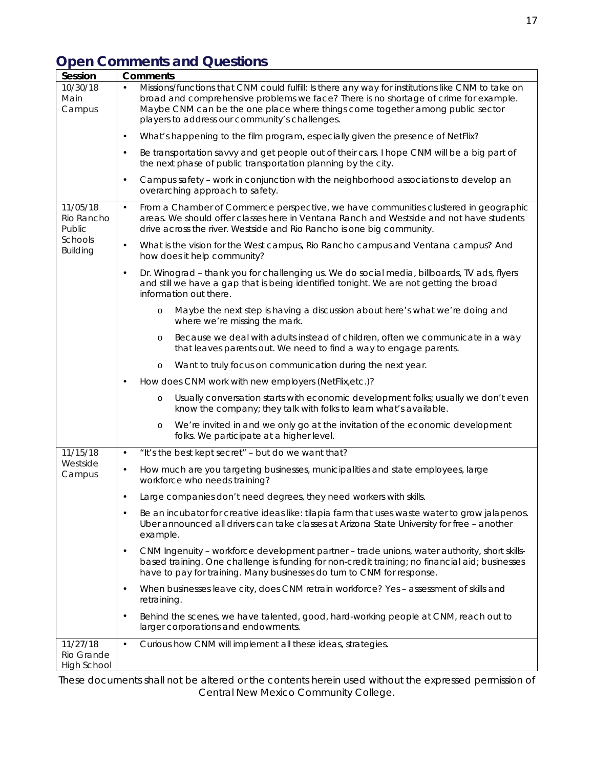# **Open Comments and Questions**

| Missions/functions that CNM could fulfill: Is there any way for institutions like CNM to take on<br>10/30/18<br>$\bullet$<br>broad and comprehensive problems we face? There is no shortage of crime for example.<br>Main<br>Maybe CNM can be the one place where things come together among public sector<br>Campus<br>players to address our community's challenges.<br>What's happening to the film program, especially given the presence of NetFlix?<br>$\bullet$<br>Be transportation savvy and get people out of their cars. I hope CNM will be a big part of<br>$\bullet$<br>the next phase of public transportation planning by the city.<br>Campus safety - work in conjunction with the neighborhood associations to develop an<br>$\bullet$<br>overarching approach to safety.<br>From a Chamber of Commerce perspective, we have communities clustered in geographic<br>11/05/18<br>$\bullet$<br>areas. We should offer classes here in Ventana Ranch and Westside and not have students<br>Rio Rancho<br>Public<br>drive across the river. Westside and Rio Rancho is one big community.<br>Schools<br>What is the vision for the West campus, Rio Rancho campus and Ventana campus? And<br>$\bullet$<br><b>Building</b><br>how does it help community?<br>Dr. Winograd - thank you for challenging us. We do social media, billboards, TV ads, flyers<br>$\bullet$<br>and still we have a gap that is being identified tonight. We are not getting the broad<br>information out there.<br>Maybe the next step is having a discussion about here's what we're doing and<br>$\circ$<br>where we're missing the mark.<br>Because we deal with adults instead of children, often we communicate in a way<br>$\circ$<br>that leaves parents out. We need to find a way to engage parents.<br>Want to truly focus on communication during the next year.<br>$\circ$<br>How does CNM work with new employers (NetFlix, etc.)?<br>$\bullet$<br>Usually conversation starts with economic development folks; usually we don't even<br>$\circ$<br>know the company; they talk with folks to learn what's available.<br>We're invited in and we only go at the invitation of the economic development<br>$\circ$<br>folks. We participate at a higher level.<br>11/15/18<br>"It's the best kept secret" - but do we want that?<br>$\bullet$<br>Westside<br>How much are you targeting businesses, municipalities and state employees, large<br>$\bullet$<br>Campus<br>workforce who needs training?<br>Large companies don't need degrees, they need workers with skills.<br>$\bullet$<br>Be an incubator for creative ideas like: tilapia farm that uses waste water to grow jalapenos.<br>Uber announced all drivers can take classes at Arizona State University for free - another<br>example.<br>CNM Ingenuity - workforce development partner - trade unions, water authority, short skills-<br>$\bullet$<br>based training. One challenge is funding for non-credit training; no financial aid; businesses<br>have to pay for training. Many businesses do turn to CNM for response.<br>When businesses leave city, does CNM retrain workforce? Yes - assessment of skills and<br>$\bullet$<br>retraining.<br>Behind the scenes, we have talented, good, hard-working people at CNM, reach out to<br>$\bullet$<br>larger corporations and endowments.<br>Curious how CNM will implement all these ideas, strategies.<br>11/27/18<br>$\bullet$<br>Rio Grande<br>High School | Session | <b>Comments</b> |  |
|---------------------------------------------------------------------------------------------------------------------------------------------------------------------------------------------------------------------------------------------------------------------------------------------------------------------------------------------------------------------------------------------------------------------------------------------------------------------------------------------------------------------------------------------------------------------------------------------------------------------------------------------------------------------------------------------------------------------------------------------------------------------------------------------------------------------------------------------------------------------------------------------------------------------------------------------------------------------------------------------------------------------------------------------------------------------------------------------------------------------------------------------------------------------------------------------------------------------------------------------------------------------------------------------------------------------------------------------------------------------------------------------------------------------------------------------------------------------------------------------------------------------------------------------------------------------------------------------------------------------------------------------------------------------------------------------------------------------------------------------------------------------------------------------------------------------------------------------------------------------------------------------------------------------------------------------------------------------------------------------------------------------------------------------------------------------------------------------------------------------------------------------------------------------------------------------------------------------------------------------------------------------------------------------------------------------------------------------------------------------------------------------------------------------------------------------------------------------------------------------------------------------------------------------------------------------------------------------------------------------------------------------------------------------------------------------------------------------------------------------------------------------------------------------------------------------------------------------------------------------------------------------------------------------------------------------------------------------------------------------------------------------------------------------------------------------------------------------------------------------------------------------------------------------------------------------------------------------------------------------------------------------------------------------------------------------------------------------------------------------------------------------------------------------------------------------------------------------------------------|---------|-----------------|--|
|                                                                                                                                                                                                                                                                                                                                                                                                                                                                                                                                                                                                                                                                                                                                                                                                                                                                                                                                                                                                                                                                                                                                                                                                                                                                                                                                                                                                                                                                                                                                                                                                                                                                                                                                                                                                                                                                                                                                                                                                                                                                                                                                                                                                                                                                                                                                                                                                                                                                                                                                                                                                                                                                                                                                                                                                                                                                                                                                                                                                                                                                                                                                                                                                                                                                                                                                                                                                                                                                                       |         |                 |  |
|                                                                                                                                                                                                                                                                                                                                                                                                                                                                                                                                                                                                                                                                                                                                                                                                                                                                                                                                                                                                                                                                                                                                                                                                                                                                                                                                                                                                                                                                                                                                                                                                                                                                                                                                                                                                                                                                                                                                                                                                                                                                                                                                                                                                                                                                                                                                                                                                                                                                                                                                                                                                                                                                                                                                                                                                                                                                                                                                                                                                                                                                                                                                                                                                                                                                                                                                                                                                                                                                                       |         |                 |  |
|                                                                                                                                                                                                                                                                                                                                                                                                                                                                                                                                                                                                                                                                                                                                                                                                                                                                                                                                                                                                                                                                                                                                                                                                                                                                                                                                                                                                                                                                                                                                                                                                                                                                                                                                                                                                                                                                                                                                                                                                                                                                                                                                                                                                                                                                                                                                                                                                                                                                                                                                                                                                                                                                                                                                                                                                                                                                                                                                                                                                                                                                                                                                                                                                                                                                                                                                                                                                                                                                                       |         |                 |  |
|                                                                                                                                                                                                                                                                                                                                                                                                                                                                                                                                                                                                                                                                                                                                                                                                                                                                                                                                                                                                                                                                                                                                                                                                                                                                                                                                                                                                                                                                                                                                                                                                                                                                                                                                                                                                                                                                                                                                                                                                                                                                                                                                                                                                                                                                                                                                                                                                                                                                                                                                                                                                                                                                                                                                                                                                                                                                                                                                                                                                                                                                                                                                                                                                                                                                                                                                                                                                                                                                                       |         |                 |  |
|                                                                                                                                                                                                                                                                                                                                                                                                                                                                                                                                                                                                                                                                                                                                                                                                                                                                                                                                                                                                                                                                                                                                                                                                                                                                                                                                                                                                                                                                                                                                                                                                                                                                                                                                                                                                                                                                                                                                                                                                                                                                                                                                                                                                                                                                                                                                                                                                                                                                                                                                                                                                                                                                                                                                                                                                                                                                                                                                                                                                                                                                                                                                                                                                                                                                                                                                                                                                                                                                                       |         |                 |  |
|                                                                                                                                                                                                                                                                                                                                                                                                                                                                                                                                                                                                                                                                                                                                                                                                                                                                                                                                                                                                                                                                                                                                                                                                                                                                                                                                                                                                                                                                                                                                                                                                                                                                                                                                                                                                                                                                                                                                                                                                                                                                                                                                                                                                                                                                                                                                                                                                                                                                                                                                                                                                                                                                                                                                                                                                                                                                                                                                                                                                                                                                                                                                                                                                                                                                                                                                                                                                                                                                                       |         |                 |  |
|                                                                                                                                                                                                                                                                                                                                                                                                                                                                                                                                                                                                                                                                                                                                                                                                                                                                                                                                                                                                                                                                                                                                                                                                                                                                                                                                                                                                                                                                                                                                                                                                                                                                                                                                                                                                                                                                                                                                                                                                                                                                                                                                                                                                                                                                                                                                                                                                                                                                                                                                                                                                                                                                                                                                                                                                                                                                                                                                                                                                                                                                                                                                                                                                                                                                                                                                                                                                                                                                                       |         |                 |  |
|                                                                                                                                                                                                                                                                                                                                                                                                                                                                                                                                                                                                                                                                                                                                                                                                                                                                                                                                                                                                                                                                                                                                                                                                                                                                                                                                                                                                                                                                                                                                                                                                                                                                                                                                                                                                                                                                                                                                                                                                                                                                                                                                                                                                                                                                                                                                                                                                                                                                                                                                                                                                                                                                                                                                                                                                                                                                                                                                                                                                                                                                                                                                                                                                                                                                                                                                                                                                                                                                                       |         |                 |  |
|                                                                                                                                                                                                                                                                                                                                                                                                                                                                                                                                                                                                                                                                                                                                                                                                                                                                                                                                                                                                                                                                                                                                                                                                                                                                                                                                                                                                                                                                                                                                                                                                                                                                                                                                                                                                                                                                                                                                                                                                                                                                                                                                                                                                                                                                                                                                                                                                                                                                                                                                                                                                                                                                                                                                                                                                                                                                                                                                                                                                                                                                                                                                                                                                                                                                                                                                                                                                                                                                                       |         |                 |  |
|                                                                                                                                                                                                                                                                                                                                                                                                                                                                                                                                                                                                                                                                                                                                                                                                                                                                                                                                                                                                                                                                                                                                                                                                                                                                                                                                                                                                                                                                                                                                                                                                                                                                                                                                                                                                                                                                                                                                                                                                                                                                                                                                                                                                                                                                                                                                                                                                                                                                                                                                                                                                                                                                                                                                                                                                                                                                                                                                                                                                                                                                                                                                                                                                                                                                                                                                                                                                                                                                                       |         |                 |  |
|                                                                                                                                                                                                                                                                                                                                                                                                                                                                                                                                                                                                                                                                                                                                                                                                                                                                                                                                                                                                                                                                                                                                                                                                                                                                                                                                                                                                                                                                                                                                                                                                                                                                                                                                                                                                                                                                                                                                                                                                                                                                                                                                                                                                                                                                                                                                                                                                                                                                                                                                                                                                                                                                                                                                                                                                                                                                                                                                                                                                                                                                                                                                                                                                                                                                                                                                                                                                                                                                                       |         |                 |  |
|                                                                                                                                                                                                                                                                                                                                                                                                                                                                                                                                                                                                                                                                                                                                                                                                                                                                                                                                                                                                                                                                                                                                                                                                                                                                                                                                                                                                                                                                                                                                                                                                                                                                                                                                                                                                                                                                                                                                                                                                                                                                                                                                                                                                                                                                                                                                                                                                                                                                                                                                                                                                                                                                                                                                                                                                                                                                                                                                                                                                                                                                                                                                                                                                                                                                                                                                                                                                                                                                                       |         |                 |  |
|                                                                                                                                                                                                                                                                                                                                                                                                                                                                                                                                                                                                                                                                                                                                                                                                                                                                                                                                                                                                                                                                                                                                                                                                                                                                                                                                                                                                                                                                                                                                                                                                                                                                                                                                                                                                                                                                                                                                                                                                                                                                                                                                                                                                                                                                                                                                                                                                                                                                                                                                                                                                                                                                                                                                                                                                                                                                                                                                                                                                                                                                                                                                                                                                                                                                                                                                                                                                                                                                                       |         |                 |  |
|                                                                                                                                                                                                                                                                                                                                                                                                                                                                                                                                                                                                                                                                                                                                                                                                                                                                                                                                                                                                                                                                                                                                                                                                                                                                                                                                                                                                                                                                                                                                                                                                                                                                                                                                                                                                                                                                                                                                                                                                                                                                                                                                                                                                                                                                                                                                                                                                                                                                                                                                                                                                                                                                                                                                                                                                                                                                                                                                                                                                                                                                                                                                                                                                                                                                                                                                                                                                                                                                                       |         |                 |  |
|                                                                                                                                                                                                                                                                                                                                                                                                                                                                                                                                                                                                                                                                                                                                                                                                                                                                                                                                                                                                                                                                                                                                                                                                                                                                                                                                                                                                                                                                                                                                                                                                                                                                                                                                                                                                                                                                                                                                                                                                                                                                                                                                                                                                                                                                                                                                                                                                                                                                                                                                                                                                                                                                                                                                                                                                                                                                                                                                                                                                                                                                                                                                                                                                                                                                                                                                                                                                                                                                                       |         |                 |  |
|                                                                                                                                                                                                                                                                                                                                                                                                                                                                                                                                                                                                                                                                                                                                                                                                                                                                                                                                                                                                                                                                                                                                                                                                                                                                                                                                                                                                                                                                                                                                                                                                                                                                                                                                                                                                                                                                                                                                                                                                                                                                                                                                                                                                                                                                                                                                                                                                                                                                                                                                                                                                                                                                                                                                                                                                                                                                                                                                                                                                                                                                                                                                                                                                                                                                                                                                                                                                                                                                                       |         |                 |  |
|                                                                                                                                                                                                                                                                                                                                                                                                                                                                                                                                                                                                                                                                                                                                                                                                                                                                                                                                                                                                                                                                                                                                                                                                                                                                                                                                                                                                                                                                                                                                                                                                                                                                                                                                                                                                                                                                                                                                                                                                                                                                                                                                                                                                                                                                                                                                                                                                                                                                                                                                                                                                                                                                                                                                                                                                                                                                                                                                                                                                                                                                                                                                                                                                                                                                                                                                                                                                                                                                                       |         |                 |  |
|                                                                                                                                                                                                                                                                                                                                                                                                                                                                                                                                                                                                                                                                                                                                                                                                                                                                                                                                                                                                                                                                                                                                                                                                                                                                                                                                                                                                                                                                                                                                                                                                                                                                                                                                                                                                                                                                                                                                                                                                                                                                                                                                                                                                                                                                                                                                                                                                                                                                                                                                                                                                                                                                                                                                                                                                                                                                                                                                                                                                                                                                                                                                                                                                                                                                                                                                                                                                                                                                                       |         |                 |  |
|                                                                                                                                                                                                                                                                                                                                                                                                                                                                                                                                                                                                                                                                                                                                                                                                                                                                                                                                                                                                                                                                                                                                                                                                                                                                                                                                                                                                                                                                                                                                                                                                                                                                                                                                                                                                                                                                                                                                                                                                                                                                                                                                                                                                                                                                                                                                                                                                                                                                                                                                                                                                                                                                                                                                                                                                                                                                                                                                                                                                                                                                                                                                                                                                                                                                                                                                                                                                                                                                                       |         |                 |  |
|                                                                                                                                                                                                                                                                                                                                                                                                                                                                                                                                                                                                                                                                                                                                                                                                                                                                                                                                                                                                                                                                                                                                                                                                                                                                                                                                                                                                                                                                                                                                                                                                                                                                                                                                                                                                                                                                                                                                                                                                                                                                                                                                                                                                                                                                                                                                                                                                                                                                                                                                                                                                                                                                                                                                                                                                                                                                                                                                                                                                                                                                                                                                                                                                                                                                                                                                                                                                                                                                                       |         |                 |  |
|                                                                                                                                                                                                                                                                                                                                                                                                                                                                                                                                                                                                                                                                                                                                                                                                                                                                                                                                                                                                                                                                                                                                                                                                                                                                                                                                                                                                                                                                                                                                                                                                                                                                                                                                                                                                                                                                                                                                                                                                                                                                                                                                                                                                                                                                                                                                                                                                                                                                                                                                                                                                                                                                                                                                                                                                                                                                                                                                                                                                                                                                                                                                                                                                                                                                                                                                                                                                                                                                                       |         |                 |  |
|                                                                                                                                                                                                                                                                                                                                                                                                                                                                                                                                                                                                                                                                                                                                                                                                                                                                                                                                                                                                                                                                                                                                                                                                                                                                                                                                                                                                                                                                                                                                                                                                                                                                                                                                                                                                                                                                                                                                                                                                                                                                                                                                                                                                                                                                                                                                                                                                                                                                                                                                                                                                                                                                                                                                                                                                                                                                                                                                                                                                                                                                                                                                                                                                                                                                                                                                                                                                                                                                                       |         |                 |  |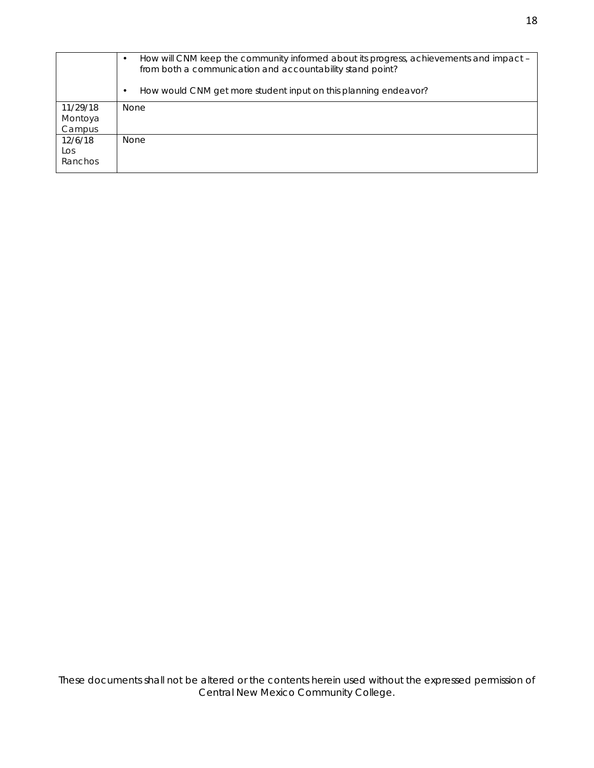|          | How will CNM keep the community informed about its progress, achievements and impact -<br>from both a communication and accountability stand point? |
|----------|-----------------------------------------------------------------------------------------------------------------------------------------------------|
|          | How would CNM get more student input on this planning endeavor?                                                                                     |
| 11/29/18 | <b>None</b>                                                                                                                                         |
| Montoya  |                                                                                                                                                     |
| Campus   |                                                                                                                                                     |
| 12/6/18  | <b>None</b>                                                                                                                                         |
| Los      |                                                                                                                                                     |
| Ranchos  |                                                                                                                                                     |
|          |                                                                                                                                                     |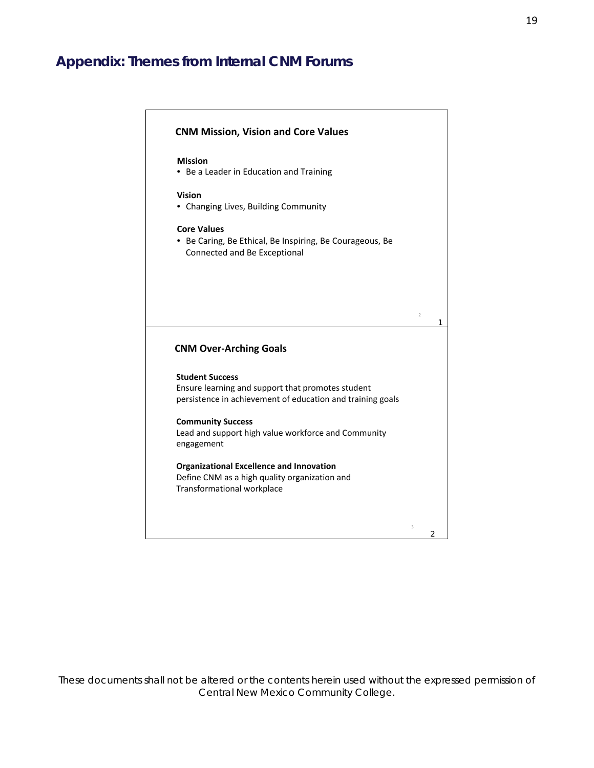# **Appendix: Themes from Internal CNM Forums**

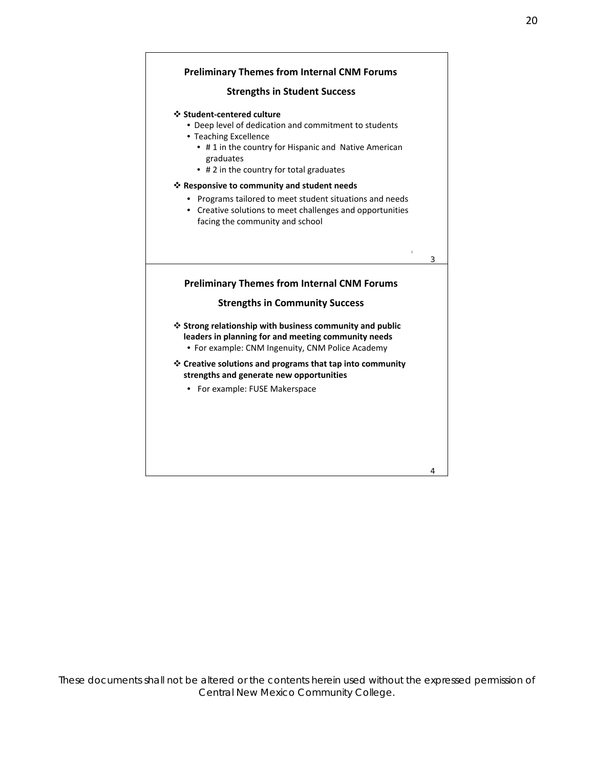#### **Preliminary Themes from Internal CNM Forums**

#### **Strengths in Student Success**

#### **❖ Student-centered culture**

- Deep level of dedication and commitment to students
- Teaching Excellence
	- #1 in the country for Hispanic and Native American graduates
	- # 2 in the country for total graduates

#### \* Responsive to community and student needs

- Programs tailored to meet student situations and needs
- Creative solutions to meet challenges and opportunities facing the community and school

#### **Preliminary Themes from Internal CNM Forums**

3

4

4

#### **Strengths in Community Success**

- $\triangle$  Strong relationship with business community and public leaders in planning for and meeting community needs
	- . For example: CNM Ingenuity, CNM Police Academy
- $\triangle$  Creative solutions and programs that tap into community strengths and generate new opportunities
	- For example: FUSE Makerspace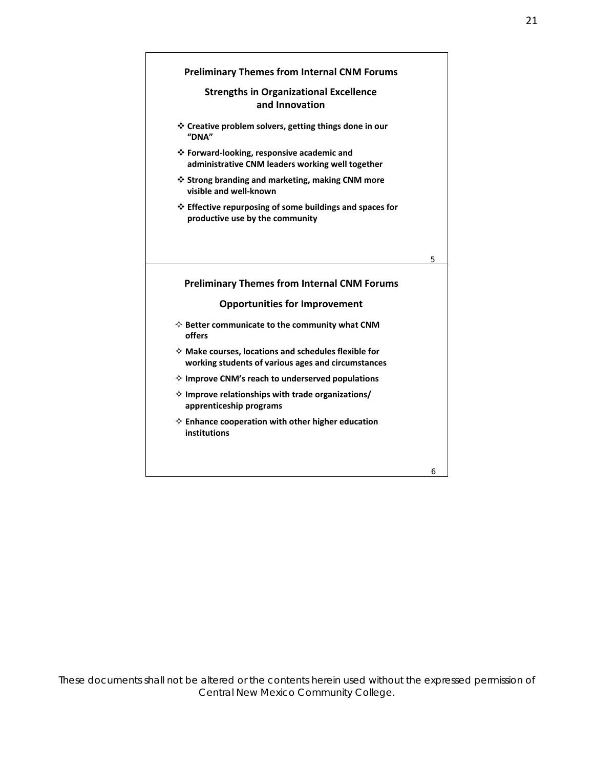

Central New Mexico Community College.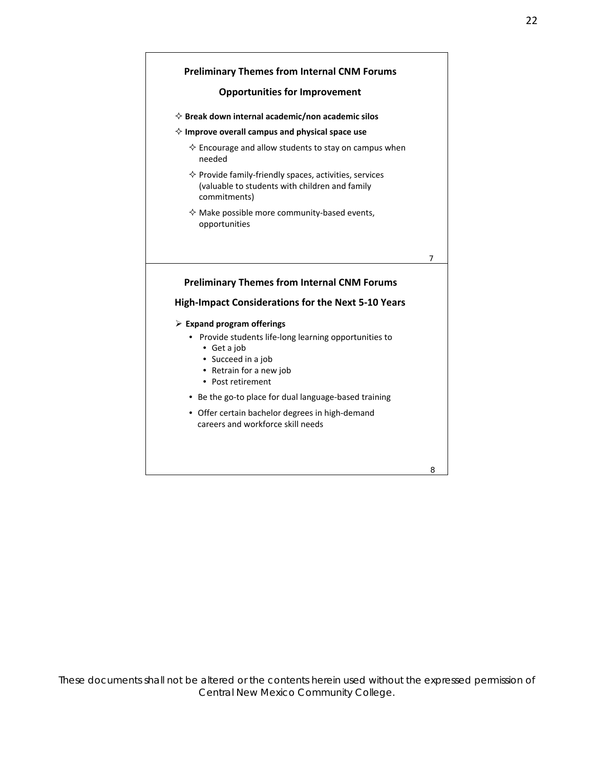#### **Preliminary Themes from Internal CNM Forums**

#### **Opportunities for Improvement**

- $\diamond$  Break down internal academic/non academic silos
- $\diamond$  Improve overall campus and physical space use
	- $\diamond$  Encourage and allow students to stay on campus when needed
	- $\diamond$  Provide family-friendly spaces, activities, services (valuable to students with children and family commitments)
	- $\diamond$  Make possible more community-based events, opportunities

 $\overline{7}$ 

#### **Preliminary Themes from Internal CNM Forums**

#### **High-Impact Considerations for the Next 5-10 Years**

- $\triangleright$  Expand program offerings
	- Provide students life-long learning opportunities to
		- Get a job
		- Succeed in a job
		- Retrain for a new job
		- Post retirement
	- Be the go-to place for dual language-based training
	- Offer certain bachelor degrees in high-demand careers and workforce skill needs

8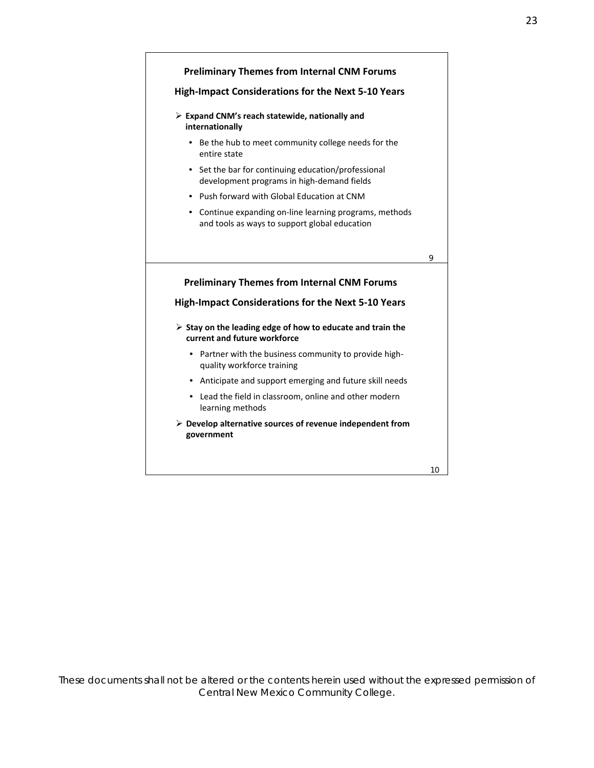